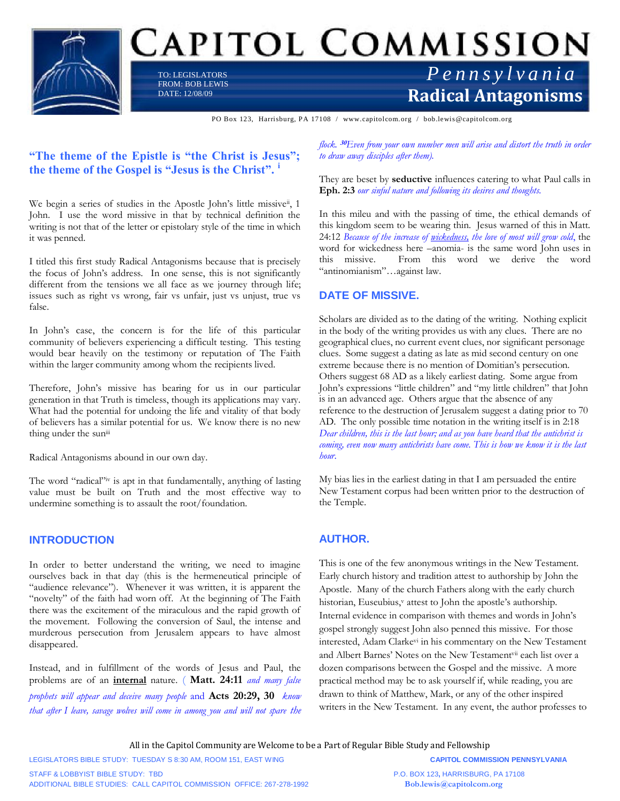

# CAPITOL COMMISSION

TO: LEGISLATORS FROM: BOB LEWIS DATE: 12/08/09

# **Radical Antagonisms** *P e n n s y l v a n i a*

PO Box 123, Harrisburg, PA 17108 / www.capitolcom.org / bob.lewis@capitolcom.org

# **"The theme of the Epistle is "the Christ is Jesus"; the theme of the Gospel is "Jesus is the Christ". <sup>i</sup>**

We begin a series of studies in the Apostle John's little missive<sup>ii</sup>, 1 John. I use the word missive in that by technical definition the writing is not that of the letter or epistolary style of the time in which it was penned.

I titled this first study Radical Antagonisms because that is precisely the focus of John's address. In one sense, this is not significantly different from the tensions we all face as we journey through life; issues such as right vs wrong, fair vs unfair, just vs unjust, true vs false.

In John's case, the concern is for the life of this particular community of believers experiencing a difficult testing. This testing would bear heavily on the testimony or reputation of The Faith within the larger community among whom the recipients lived.

Therefore, John's missive has bearing for us in our particular generation in that Truth is timeless, though its applications may vary. What had the potential for undoing the life and vitality of that body of believers has a similar potential for us. We know there is no new thing under the suniii

Radical Antagonisms abound in our own day.

The word "radical"<sup>iv</sup> is apt in that fundamentally, anything of lasting value must be built on Truth and the most effective way to undermine something is to assault the root/foundation.

# **INTRODUCTION**

In order to better understand the writing, we need to imagine ourselves back in that day (this is the hermeneutical principle of "audience relevance"). Whenever it was written, it is apparent the "novelty" of the faith had worn off. At the beginning of The Faith there was the excitement of the miraculous and the rapid growth of the movement. Following the conversion of Saul, the intense and murderous persecution from Jerusalem appears to have almost disappeared.

Instead, and in fulfillment of the words of Jesus and Paul, the problems are of an **internal** nature. ( **Matt. 24:11** *and many false prophets will appear and deceive many people* and **Acts 20:29, 30** *know that after I leave, savage wolves will come in among you and will not spare the*  *flock.* **<sup>30</sup>***Even from your own number men will arise and distort the truth in order to draw away disciples after them).*

They are beset by **seductive** influences catering to what Paul calls in **Eph. 2:3** *our sinful nature and following its desires and thoughts.*

In this mileu and with the passing of time, the ethical demands of this kingdom seem to be wearing thin. Jesus warned of this in Matt. 24:12 *Because of the increase of wickedness, the love of most will grow cold*, the word for wickedness here –anomia- is the same word John uses in this missive. From this word we derive the word "antinomianism"…against law.

# **DATE OF MISSIVE.**

Scholars are divided as to the dating of the writing. Nothing explicit in the body of the writing provides us with any clues. There are no geographical clues, no current event clues, nor significant personage clues. Some suggest a dating as late as mid second century on one extreme because there is no mention of Domitian's persecution. Others suggest 68 AD as a likely earliest dating. Some argue from John's expressions "little children" and "my little children" that John is in an advanced age. Others argue that the absence of any reference to the destruction of Jerusalem suggest a dating prior to 70 AD. The only possible time notation in the writing itself is in 2:18 *Dear children, this is the last hour; and as you have heard that the antichrist is coming, even now many antichrists have come. This is how we know it is the last hour*.

My bias lies in the earliest dating in that I am persuaded the entire New Testament corpus had been written prior to the destruction of the Temple.

# **AUTHOR.**

This is one of the few anonymous writings in the New Testament. Early church history and tradition attest to authorship by John the Apostle. Many of the church Fathers along with the early church historian, Euseubius,<sup>v</sup> attest to John the apostle's authorship. Internal evidence in comparison with themes and words in John's gospel strongly suggest John also penned this missive. For those interested, Adam Clarkevi in his commentary on the New Testament and Albert Barnes' Notes on the New Testamentvii each list over a dozen comparisons between the Gospel and the missive. A more practical method may be to ask yourself if, while reading, you are drawn to think of Matthew, Mark, or any of the other inspired writers in the New Testament. In any event, the author professes to

All in the Capitol Community are Welcome to be a Part of Regular Bible Study and Fellowship

LEGISLATORS BIBLE STUDY: TUESDAY S 8:30 AM, ROOM 151, EAST WING **CAPITOL COMMISSION PENNSYLVANIA**